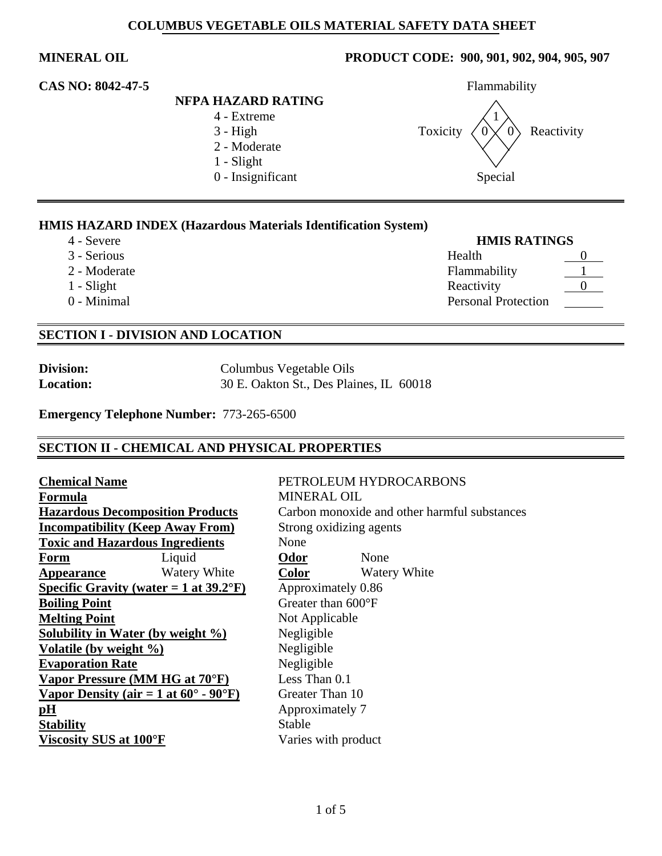# **NFPA HAZARD RATING**

- 4 Extreme 1
- 
- 2 Moderate
- 1 Slight
- 

## **MINERAL OIL PRODUCT CODE: 900, 901, 902, 904, 905, 907**



### **HMIS HAZARD INDEX (Hazardous Materials Identification System)**

- 
- 
- 2 Moderate
- 
- $0$  Minimal

4 - Severe **HMIS RATINGS**

| 3 - Serious   | Health                     |  |
|---------------|----------------------------|--|
| 2 - Moderate  | Flammability               |  |
| $1 - S$ light | Reactivity                 |  |
| 0 - Minimal   | <b>Personal Protection</b> |  |

### **SECTION I - DIVISION AND LOCATION**

| <b>Division:</b> |
|------------------|
| <b>Location:</b> |

**Division:** Columbus Vegetable Oils **Location:** 30 E. Oakton St., Des Plaines, IL 60018

**Emergency Telephone Number:** 773-265-6500

### **SECTION II - CHEMICAL AND PHYSICAL PROPERTIES**

| <b>Chemical Name</b>                             |                                                          | PETROLEUM HYDF        |                              |  |  |
|--------------------------------------------------|----------------------------------------------------------|-----------------------|------------------------------|--|--|
| Formula                                          |                                                          |                       | <b>MINERAL OIL</b>           |  |  |
| <b>Hazardous Decomposition Products</b>          |                                                          |                       | Carbon monoxide and          |  |  |
| <b>Incompatibility (Keep Away From)</b>          |                                                          | Strong oxidizing agen |                              |  |  |
| <b>Toxic and Hazardous Ingredients</b>           |                                                          | None                  |                              |  |  |
| <b>Form</b>                                      | Liquid                                                   | Odor                  | None                         |  |  |
| Appearance                                       | <b>Watery White</b>                                      | <b>Color</b>          | Water                        |  |  |
| Specific Gravity (water = 1 at $39.2^{\circ}$ F) |                                                          | Approximately 0.86    |                              |  |  |
| <b>Boiling Point</b>                             |                                                          |                       | Greater than $600^{\circ}$ F |  |  |
| <b>Melting Point</b>                             |                                                          | Not Applicable        |                              |  |  |
|                                                  | Solubility in Water (by weight $\%$ )                    | Negligible            |                              |  |  |
| Volatile (by weight $\%$ )                       |                                                          | Negligible            |                              |  |  |
| <b>Evaporation Rate</b>                          |                                                          | Negligible            |                              |  |  |
|                                                  | Vapor Pressure (MM HG at 70°F)                           | Less Than 0.1         |                              |  |  |
|                                                  | Vapor Density (air = 1 at $60^{\circ}$ - $90^{\circ}$ F) | Greater Than 10       |                              |  |  |
| pH                                               |                                                          | Approximately 7       |                              |  |  |
| <b>Stability</b>                                 |                                                          | Stable                |                              |  |  |
| Viscosity SUS at 100°F                           |                                                          | Varies with product   |                              |  |  |

# **Chemical Name** PETROLEUM HYDROCARBONS **MINERAL OIL** Carbon monoxide and other harmful substances **Strong oxidizing agents Appearance** Watery White **Color** Watery White Approximately 0.86 Greater than 600°F **Not Applicable Solubility in Water (by weight %)** Negligible **Negligible Negligible** Less Than 0.1 Greater Than 10 **Approximately 7 Stable** Varies with product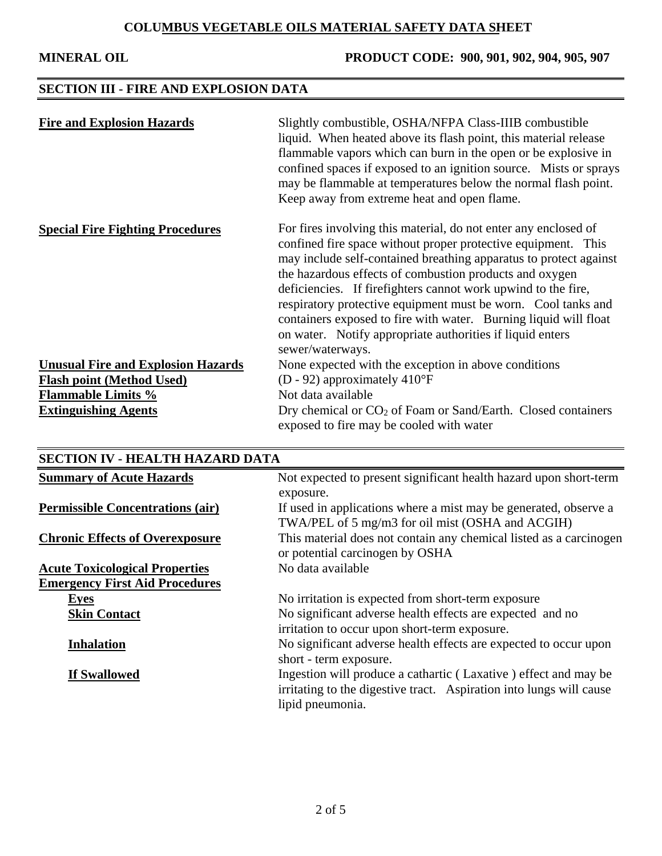**MINERAL OIL PRODUCT CODE: 900, 901, 902, 904, 905, 907**

# **SECTION III - FIRE AND EXPLOSION DATA**

| <b>Fire and Explosion Hazards</b>         | Slightly combustible, OSHA/NFPA Class-IIIB combustible<br>liquid. When heated above its flash point, this material release<br>flammable vapors which can burn in the open or be explosive in<br>confined spaces if exposed to an ignition source. Mists or sprays<br>may be flammable at temperatures below the normal flash point.<br>Keep away from extreme heat and open flame.                                                                                                                                                                      |
|-------------------------------------------|---------------------------------------------------------------------------------------------------------------------------------------------------------------------------------------------------------------------------------------------------------------------------------------------------------------------------------------------------------------------------------------------------------------------------------------------------------------------------------------------------------------------------------------------------------|
| <b>Special Fire Fighting Procedures</b>   | For fires involving this material, do not enter any enclosed of<br>confined fire space without proper protective equipment. This<br>may include self-contained breathing apparatus to protect against<br>the hazardous effects of combustion products and oxygen<br>deficiencies. If firefighters cannot work upwind to the fire,<br>respiratory protective equipment must be worn. Cool tanks and<br>containers exposed to fire with water. Burning liquid will float<br>on water. Notify appropriate authorities if liquid enters<br>sewer/waterways. |
| <b>Unusual Fire and Explosion Hazards</b> | None expected with the exception in above conditions                                                                                                                                                                                                                                                                                                                                                                                                                                                                                                    |
| <b>Flash point (Method Used)</b>          | (D - 92) approximately $410^{\circ}F$                                                                                                                                                                                                                                                                                                                                                                                                                                                                                                                   |
| <b>Flammable Limits %</b>                 | Not data available                                                                                                                                                                                                                                                                                                                                                                                                                                                                                                                                      |
| <b>Extinguishing Agents</b>               | Dry chemical or $CO2$ of Foam or Sand/Earth. Closed containers<br>exposed to fire may be cooled with water                                                                                                                                                                                                                                                                                                                                                                                                                                              |

| <b>SECTION IV - HEALTH HAZARD DATA</b>                                         |                                                                                                                                                            |
|--------------------------------------------------------------------------------|------------------------------------------------------------------------------------------------------------------------------------------------------------|
| <b>Summary of Acute Hazards</b>                                                | Not expected to present significant health hazard upon short-term<br>exposure.                                                                             |
| <b>Permissible Concentrations (air)</b>                                        | If used in applications where a mist may be generated, observe a<br>TWA/PEL of 5 mg/m3 for oil mist (OSHA and ACGIH)                                       |
| <b>Chronic Effects of Overexposure</b>                                         | This material does not contain any chemical listed as a carcinogen<br>or potential carcinogen by OSHA                                                      |
| <b>Acute Toxicological Properties</b><br><b>Emergency First Aid Procedures</b> | No data available                                                                                                                                          |
| <b>Eyes</b>                                                                    | No irritation is expected from short-term exposure                                                                                                         |
| <b>Skin Contact</b>                                                            | No significant adverse health effects are expected and no<br>irritation to occur upon short-term exposure.                                                 |
| <b>Inhalation</b>                                                              | No significant adverse health effects are expected to occur upon<br>short - term exposure.                                                                 |
| If Swallowed                                                                   | Ingestion will produce a cathartic (Laxative) effect and may be<br>irritating to the digestive tract. Aspiration into lungs will cause<br>lipid pneumonia. |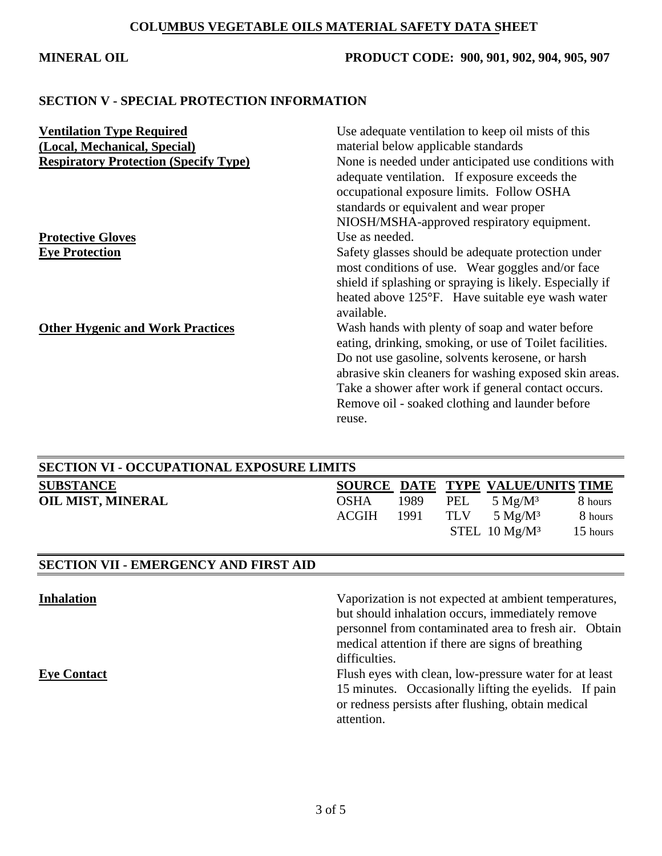## **MINERAL OIL PRODUCT CODE: 900, 901, 902, 904, 905, 907**

### **SECTION V - SPECIAL PROTECTION INFORMATION**

| <b>Ventilation Type Required</b><br>(Local, Mechanical, Special)<br><b>Respiratory Protection (Specify Type)</b> | Use adequate ventilation to keep oil mists of this<br>material below applicable standards<br>None is needed under anticipated use conditions with<br>adequate ventilation. If exposure exceeds the<br>occupational exposure limits. Follow OSHA<br>standards or equivalent and wear proper<br>NIOSH/MSHA-approved respiratory equipment.     |
|------------------------------------------------------------------------------------------------------------------|----------------------------------------------------------------------------------------------------------------------------------------------------------------------------------------------------------------------------------------------------------------------------------------------------------------------------------------------|
| <b>Protective Gloves</b><br><b>Eye Protection</b>                                                                | Use as needed.<br>Safety glasses should be adequate protection under<br>most conditions of use. Wear goggles and/or face<br>shield if splashing or spraying is likely. Especially if<br>heated above 125°F. Have suitable eye wash water<br>available.                                                                                       |
| <b>Other Hygenic and Work Practices</b>                                                                          | Wash hands with plenty of soap and water before<br>eating, drinking, smoking, or use of Toilet facilities.<br>Do not use gasoline, solvents kerosene, or harsh<br>abrasive skin cleaners for washing exposed skin areas.<br>Take a shower after work if general contact occurs.<br>Remove oil - soaked clothing and launder before<br>reuse. |

| <b>SECTION VI - OCCUPATIONAL EXPOSURE LIMITS</b> |             |      |     |                                   |          |
|--------------------------------------------------|-------------|------|-----|-----------------------------------|----------|
| <b>SUBSTANCE</b>                                 |             |      |     | SOURCE DATE TYPE VALUE/UNITS TIME |          |
| <b>OIL MIST, MINERAL</b>                         | <b>OSHA</b> | 1989 | PEL | 5 $Mg/M^3$                        | 8 hours  |
|                                                  | ACGIH       | 1991 | TLV | $5 \text{ Mg/M}^3$                | 8 hours  |
|                                                  |             |      |     | STEL $10 \text{ Mg/M}^3$          | 15 hours |
|                                                  |             |      |     |                                   |          |

# **SECTION VII - EMERGENCY AND FIRST AID**

| <b>Inhalation</b>  | Vaporization is not expected at ambient temperatures,  |
|--------------------|--------------------------------------------------------|
|                    | but should inhalation occurs, immediately remove       |
|                    | personnel from contaminated area to fresh air. Obtain  |
|                    | medical attention if there are signs of breathing      |
|                    | difficulties.                                          |
| <b>Eye Contact</b> | Flush eyes with clean, low-pressure water for at least |
|                    | 15 minutes. Occasionally lifting the eyelids. If pain  |
|                    | or redness persists after flushing, obtain medical     |
|                    | attention.                                             |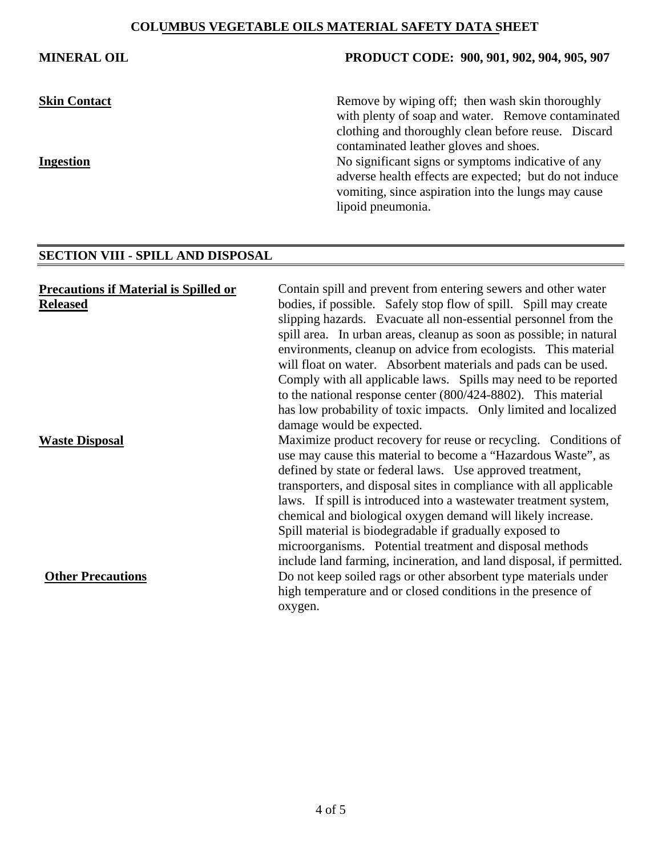### **MINERAL OIL PRODUCT CODE: 900, 901, 902, 904, 905, 907**

**Skin Contact** Remove by wiping off; then wash skin thoroughly with plenty of soap and water. Remove contaminated clothing and thoroughly clean before reuse. Discard contaminated leather gloves and shoes. **Ingestion** No significant signs or symptoms indicative of any adverse health effects are expected; but do not induce vomiting, since aspiration into the lungs may cause lipoid pneumonia.

## **SECTION VIII - SPILL AND DISPOSAL**

| <b>Precautions if Material is Spilled or</b> | Contain spill and prevent from entering sewers and other water       |
|----------------------------------------------|----------------------------------------------------------------------|
| <b>Released</b>                              | bodies, if possible. Safely stop flow of spill. Spill may create     |
|                                              | slipping hazards. Evacuate all non-essential personnel from the      |
|                                              | spill area. In urban areas, cleanup as soon as possible; in natural  |
|                                              | environments, cleanup on advice from ecologists. This material       |
|                                              | will float on water. Absorbent materials and pads can be used.       |
|                                              | Comply with all applicable laws. Spills may need to be reported      |
|                                              | to the national response center $(800/424-8802)$ . This material     |
|                                              | has low probability of toxic impacts. Only limited and localized     |
|                                              | damage would be expected.                                            |
| <b>Waste Disposal</b>                        | Maximize product recovery for reuse or recycling. Conditions of      |
|                                              | use may cause this material to become a "Hazardous Waste", as        |
|                                              | defined by state or federal laws. Use approved treatment,            |
|                                              | transporters, and disposal sites in compliance with all applicable   |
|                                              | laws. If spill is introduced into a wastewater treatment system,     |
|                                              | chemical and biological oxygen demand will likely increase.          |
|                                              | Spill material is biodegradable if gradually exposed to              |
|                                              | microorganisms. Potential treatment and disposal methods             |
|                                              | include land farming, incineration, and land disposal, if permitted. |
| <b>Other Precautions</b>                     | Do not keep soiled rags or other absorbent type materials under      |
|                                              | high temperature and or closed conditions in the presence of         |
|                                              | oxygen.                                                              |